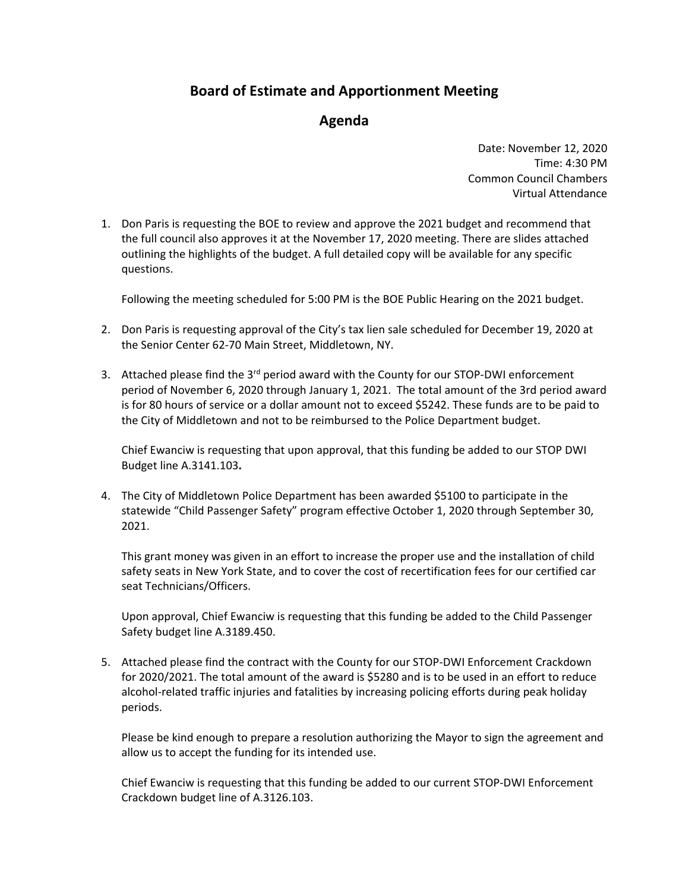## **Board of Estimate and Apportionment Meeting**

## **Agenda**

Date: November 12, 2020 Time: 4:30 PM Common Council Chambers Virtual Attendance

1. Don Paris is requesting the BOE to review and approve the 2021 budget and recommend that the full council also approves it at the November 17, 2020 meeting. There are slides attached outlining the highlights of the budget. A full detailed copy will be available for any specific questions.

Following the meeting scheduled for 5:00 PM is the BOE Public Hearing on the 2021 budget.

- 2. Don Paris is requesting approval of the City's tax lien sale scheduled for December 19, 2020 at the Senior Center 62‐70 Main Street, Middletown, NY.
- 3. Attached please find the 3<sup>rd</sup> period award with the County for our STOP-DWI enforcement period of November 6, 2020 through January 1, 2021. The total amount of the 3rd period award is for 80 hours of service or a dollar amount not to exceed \$5242. These funds are to be paid to the City of Middletown and not to be reimbursed to the Police Department budget.

Chief Ewanciw is requesting that upon approval, that this funding be added to our STOP DWI Budget line A.3141.103**.**

4. The City of Middletown Police Department has been awarded \$5100 to participate in the statewide "Child Passenger Safety" program effective October 1, 2020 through September 30, 2021.

This grant money was given in an effort to increase the proper use and the installation of child safety seats in New York State, and to cover the cost of recertification fees for our certified car seat Technicians/Officers.

Upon approval, Chief Ewanciw is requesting that this funding be added to the Child Passenger Safety budget line A.3189.450.

5. Attached please find the contract with the County for our STOP‐DWI Enforcement Crackdown for 2020/2021. The total amount of the award is \$5280 and is to be used in an effort to reduce alcohol-related traffic injuries and fatalities by increasing policing efforts during peak holiday periods.

Please be kind enough to prepare a resolution authorizing the Mayor to sign the agreement and allow us to accept the funding for its intended use.

Chief Ewanciw is requesting that this funding be added to our current STOP‐DWI Enforcement Crackdown budget line of A.3126.103.